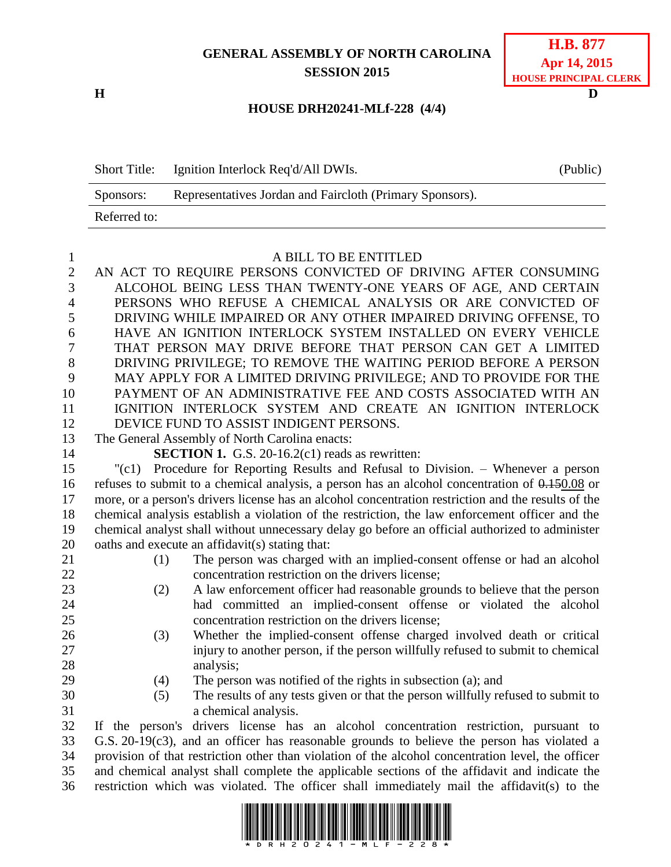## **GENERAL ASSEMBLY OF NORTH CAROLINA SESSION 2015**

**H D**

| <b>H.B. 877</b>       |  |  |
|-----------------------|--|--|
| Apr 14, 2015          |  |  |
| HOUSE PRINCIPAL CLERK |  |  |

## **HOUSE DRH20241-MLf-228 (4/4)**

Short Title: Ignition Interlock Req'd/All DWIs. (Public) Sponsors: Representatives Jordan and Faircloth (Primary Sponsors). Referred to:

## A BILL TO BE ENTITLED

 AN ACT TO REQUIRE PERSONS CONVICTED OF DRIVING AFTER CONSUMING ALCOHOL BEING LESS THAN TWENTY-ONE YEARS OF AGE, AND CERTAIN PERSONS WHO REFUSE A CHEMICAL ANALYSIS OR ARE CONVICTED OF DRIVING WHILE IMPAIRED OR ANY OTHER IMPAIRED DRIVING OFFENSE, TO HAVE AN IGNITION INTERLOCK SYSTEM INSTALLED ON EVERY VEHICLE THAT PERSON MAY DRIVE BEFORE THAT PERSON CAN GET A LIMITED DRIVING PRIVILEGE; TO REMOVE THE WAITING PERIOD BEFORE A PERSON MAY APPLY FOR A LIMITED DRIVING PRIVILEGE; AND TO PROVIDE FOR THE PAYMENT OF AN ADMINISTRATIVE FEE AND COSTS ASSOCIATED WITH AN IGNITION INTERLOCK SYSTEM AND CREATE AN IGNITION INTERLOCK DEVICE FUND TO ASSIST INDIGENT PERSONS. The General Assembly of North Carolina enacts: **SECTION 1.** G.S. 20-16.2(c1) reads as rewritten: "(c1) Procedure for Reporting Results and Refusal to Division. – Whenever a person refuses to submit to a chemical analysis, a person has an alcohol concentration of 0.150.08 or more, or a person's drivers license has an alcohol concentration restriction and the results of the chemical analysis establish a violation of the restriction, the law enforcement officer and the chemical analyst shall without unnecessary delay go before an official authorized to administer oaths and execute an affidavit(s) stating that: (1) The person was charged with an implied-consent offense or had an alcohol concentration restriction on the drivers license; (2) A law enforcement officer had reasonable grounds to believe that the person had committed an implied-consent offense or violated the alcohol concentration restriction on the drivers license; (3) Whether the implied-consent offense charged involved death or critical injury to another person, if the person willfully refused to submit to chemical 28 analysis; (4) The person was notified of the rights in subsection (a); and (5) The results of any tests given or that the person willfully refused to submit to a chemical analysis. If the person's drivers license has an alcohol concentration restriction, pursuant to G.S. 20-19(c3), and an officer has reasonable grounds to believe the person has violated a provision of that restriction other than violation of the alcohol concentration level, the officer and chemical analyst shall complete the applicable sections of the affidavit and indicate the

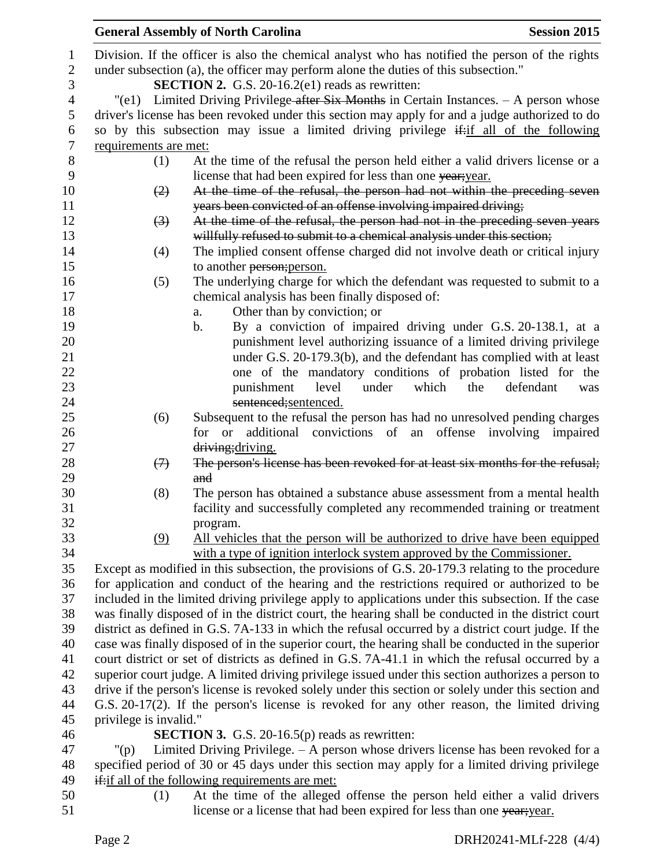|                        | <b>General Assembly of North Carolina</b>                                                                                                     | <b>Session 2015</b> |
|------------------------|-----------------------------------------------------------------------------------------------------------------------------------------------|---------------------|
|                        | Division. If the officer is also the chemical analyst who has notified the person of the rights                                               |                     |
|                        | under subsection (a), the officer may perform alone the duties of this subsection."                                                           |                     |
|                        | <b>SECTION 2.</b> G.S. 20-16.2(e1) reads as rewritten:                                                                                        |                     |
|                        | $"$ (e1) Limited Driving Privilege-after Six Months in Certain Instances. $-$ A person whose                                                  |                     |
|                        | driver's license has been revoked under this section may apply for and a judge authorized to do                                               |                     |
|                        | so by this subsection may issue a limited driving privilege $\frac{1}{x}$ all of the following                                                |                     |
| requirements are met:  |                                                                                                                                               |                     |
|                        |                                                                                                                                               |                     |
| (1)                    | At the time of the refusal the person held either a valid drivers license or a<br>license that had been expired for less than one year; year. |                     |
| (2)                    | At the time of the refusal, the person had not within the preceding seven                                                                     |                     |
|                        | years been convicted of an offense involving impaired driving;                                                                                |                     |
|                        | At the time of the refusal, the person had not in the preceding seven years                                                                   |                     |
| $\left(3\right)$       |                                                                                                                                               |                     |
|                        | willfully refused to submit to a chemical analysis under this section;                                                                        |                     |
| (4)                    | The implied consent offense charged did not involve death or critical injury                                                                  |                     |
|                        | to another person; person.                                                                                                                    |                     |
| (5)                    | The underlying charge for which the defendant was requested to submit to a                                                                    |                     |
|                        | chemical analysis has been finally disposed of:                                                                                               |                     |
|                        | Other than by conviction; or<br>a.                                                                                                            |                     |
|                        | By a conviction of impaired driving under G.S. 20-138.1, at a<br>b.                                                                           |                     |
|                        | punishment level authorizing issuance of a limited driving privilege                                                                          |                     |
|                        | under G.S. 20-179.3(b), and the defendant has complied with at least<br>one of the mandatory conditions of probation listed for the           |                     |
|                        | which<br>punishment<br>level<br>under<br>the                                                                                                  | defendant           |
|                        | sentenced;sentenced.                                                                                                                          | was                 |
| (6)                    | Subsequent to the refusal the person has had no unresolved pending charges                                                                    |                     |
|                        | for or additional convictions of an offense involving impaired                                                                                |                     |
|                        | driving; driving.                                                                                                                             |                     |
| $\leftrightarrow$      | The person's license has been revoked for at least six months for the refusal;                                                                |                     |
|                        | and                                                                                                                                           |                     |
| (8)                    | The person has obtained a substance abuse assessment from a mental health                                                                     |                     |
|                        | facility and successfully completed any recommended training or treatment                                                                     |                     |
|                        | program.                                                                                                                                      |                     |
| (9)                    | All vehicles that the person will be authorized to drive have been equipped                                                                   |                     |
|                        | with a type of ignition interlock system approved by the Commissioner.                                                                        |                     |
|                        | Except as modified in this subsection, the provisions of G.S. 20-179.3 relating to the procedure                                              |                     |
|                        | for application and conduct of the hearing and the restrictions required or authorized to be                                                  |                     |
|                        | included in the limited driving privilege apply to applications under this subsection. If the case                                            |                     |
|                        | was finally disposed of in the district court, the hearing shall be conducted in the district court                                           |                     |
|                        | district as defined in G.S. 7A-133 in which the refusal occurred by a district court judge. If the                                            |                     |
|                        | case was finally disposed of in the superior court, the hearing shall be conducted in the superior                                            |                     |
|                        | court district or set of districts as defined in G.S. 7A-41.1 in which the refusal occurred by a                                              |                     |
|                        | superior court judge. A limited driving privilege issued under this section authorizes a person to                                            |                     |
|                        | drive if the person's license is revoked solely under this section or solely under this section and                                           |                     |
|                        | G.S. 20-17(2). If the person's license is revoked for any other reason, the limited driving                                                   |                     |
| privilege is invalid." |                                                                                                                                               |                     |
|                        | <b>SECTION 3.</b> G.S. 20-16.5(p) reads as rewritten:                                                                                         |                     |
| $"(\mathsf{p})$        | Limited Driving Privilege. $- A$ person whose drivers license has been revoked for a                                                          |                     |
|                        | specified period of 30 or 45 days under this section may apply for a limited driving privilege                                                |                     |
|                        | if: if all of the following requirements are met:                                                                                             |                     |
| (1)                    | At the time of the alleged offense the person held either a valid drivers                                                                     |                     |
|                        | license or a license that had been expired for less than one year; year.                                                                      |                     |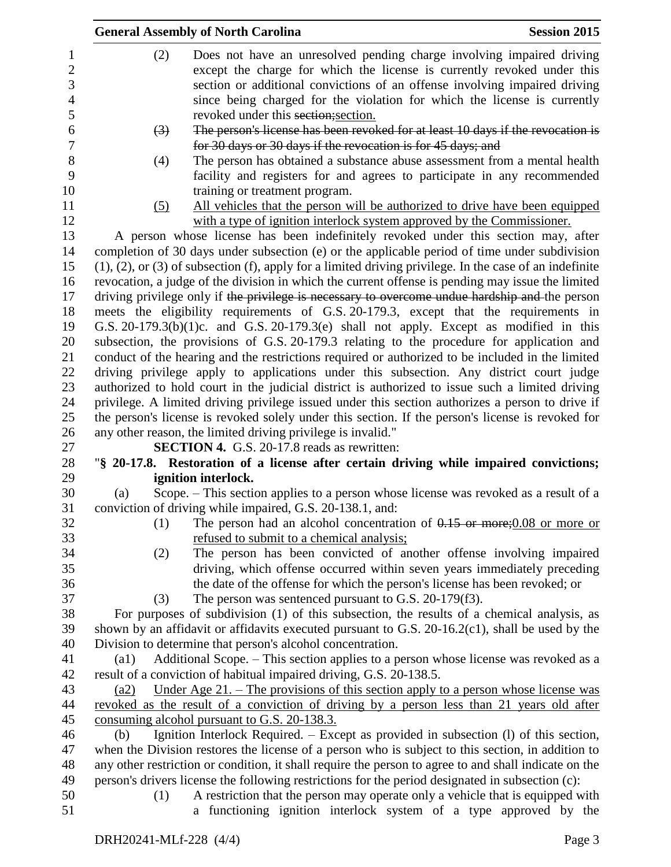|                                            |                    | <b>General Assembly of North Carolina</b>                           | <b>Session 2015</b>                                                                                                                                                                                                                                                                                        |
|--------------------------------------------|--------------------|---------------------------------------------------------------------|------------------------------------------------------------------------------------------------------------------------------------------------------------------------------------------------------------------------------------------------------------------------------------------------------------|
| 1<br>$\overline{2}$<br>3<br>$\overline{4}$ | (2)                |                                                                     | Does not have an unresolved pending charge involving impaired driving<br>except the charge for which the license is currently revoked under this<br>section or additional convictions of an offense involving impaired driving<br>since being charged for the violation for which the license is currently |
| 5                                          |                    | revoked under this section; section.                                |                                                                                                                                                                                                                                                                                                            |
| 6<br>7                                     | (3)                | for 30 days or 30 days if the revocation is for 45 days; and        | The person's license has been revoked for at least 10 days if the revocation is                                                                                                                                                                                                                            |
| 8<br>9                                     | (4)                |                                                                     | The person has obtained a substance abuse assessment from a mental health<br>facility and registers for and agrees to participate in any recommended                                                                                                                                                       |
| 10                                         |                    | training or treatment program.                                      |                                                                                                                                                                                                                                                                                                            |
| 11                                         | (5)                |                                                                     | All vehicles that the person will be authorized to drive have been equipped                                                                                                                                                                                                                                |
| 12                                         |                    |                                                                     | with a type of ignition interlock system approved by the Commissioner.                                                                                                                                                                                                                                     |
| 13                                         |                    |                                                                     | A person whose license has been indefinitely revoked under this section may, after                                                                                                                                                                                                                         |
| 14                                         |                    |                                                                     | completion of 30 days under subsection (e) or the applicable period of time under subdivision                                                                                                                                                                                                              |
| 15                                         |                    |                                                                     | $(1)$ , $(2)$ , or $(3)$ of subsection $(f)$ , apply for a limited driving privilege. In the case of an indefinite                                                                                                                                                                                         |
| 16<br>17                                   |                    |                                                                     | revocation, a judge of the division in which the current offense is pending may issue the limited<br>driving privilege only if the privilege is necessary to overcome undue hardship and the person                                                                                                        |
| 18                                         |                    |                                                                     | meets the eligibility requirements of G.S. 20-179.3, except that the requirements in                                                                                                                                                                                                                       |
| 19                                         |                    |                                                                     | G.S. $20-179.3(b)(1)c$ . and G.S. $20-179.3(e)$ shall not apply. Except as modified in this                                                                                                                                                                                                                |
| 20                                         |                    |                                                                     | subsection, the provisions of G.S. 20-179.3 relating to the procedure for application and                                                                                                                                                                                                                  |
| 21                                         |                    |                                                                     | conduct of the hearing and the restrictions required or authorized to be included in the limited                                                                                                                                                                                                           |
| 22                                         |                    |                                                                     | driving privilege apply to applications under this subsection. Any district court judge                                                                                                                                                                                                                    |
| 23                                         |                    |                                                                     | authorized to hold court in the judicial district is authorized to issue such a limited driving                                                                                                                                                                                                            |
| 24                                         |                    |                                                                     | privilege. A limited driving privilege issued under this section authorizes a person to drive if                                                                                                                                                                                                           |
| 25                                         |                    |                                                                     | the person's license is revoked solely under this section. If the person's license is revoked for                                                                                                                                                                                                          |
| 26                                         |                    | any other reason, the limited driving privilege is invalid."        |                                                                                                                                                                                                                                                                                                            |
| 27                                         |                    | <b>SECTION 4.</b> G.S. 20-17.8 reads as rewritten:                  |                                                                                                                                                                                                                                                                                                            |
| 28                                         |                    |                                                                     | "§ 20-17.8. Restoration of a license after certain driving while impaired convictions;                                                                                                                                                                                                                     |
| 29                                         |                    | ignition interlock.                                                 |                                                                                                                                                                                                                                                                                                            |
| 30                                         | (a)                |                                                                     | Scope. - This section applies to a person whose license was revoked as a result of a                                                                                                                                                                                                                       |
| 31<br>32                                   | (1)                | conviction of driving while impaired, G.S. 20-138.1, and:           | The person had an alcohol concentration of $0.15$ or more; 0.08 or more or                                                                                                                                                                                                                                 |
| 33                                         |                    | refused to submit to a chemical analysis;                           |                                                                                                                                                                                                                                                                                                            |
| 34                                         | (2)                |                                                                     | The person has been convicted of another offense involving impaired                                                                                                                                                                                                                                        |
| 35                                         |                    |                                                                     | driving, which offense occurred within seven years immediately preceding                                                                                                                                                                                                                                   |
| 36                                         |                    |                                                                     | the date of the offense for which the person's license has been revoked; or                                                                                                                                                                                                                                |
| 37                                         | (3)                | The person was sentenced pursuant to G.S. $20-179(f3)$ .            |                                                                                                                                                                                                                                                                                                            |
| 38                                         |                    |                                                                     | For purposes of subdivision (1) of this subsection, the results of a chemical analysis, as                                                                                                                                                                                                                 |
| 39                                         |                    |                                                                     | shown by an affidavit or affidavits executed pursuant to G.S. 20-16.2(c1), shall be used by the                                                                                                                                                                                                            |
| 40                                         |                    | Division to determine that person's alcohol concentration.          |                                                                                                                                                                                                                                                                                                            |
| 41                                         | $\left( a1\right)$ |                                                                     | Additional Scope. – This section applies to a person whose license was revoked as a                                                                                                                                                                                                                        |
| 42                                         |                    | result of a conviction of habitual impaired driving, G.S. 20-138.5. |                                                                                                                                                                                                                                                                                                            |
| 43                                         | (a2)               |                                                                     | <u>Under Age 21. – The provisions of this section apply to a person whose license was</u>                                                                                                                                                                                                                  |
| 44                                         |                    |                                                                     | revoked as the result of a conviction of driving by a person less than 21 years old after                                                                                                                                                                                                                  |
| 45<br>46                                   | (b)                | consuming alcohol pursuant to G.S. 20-138.3.                        | Ignition Interlock Required. – Except as provided in subsection (I) of this section,                                                                                                                                                                                                                       |
| 47                                         |                    |                                                                     | when the Division restores the license of a person who is subject to this section, in addition to                                                                                                                                                                                                          |
| 48                                         |                    |                                                                     | any other restriction or condition, it shall require the person to agree to and shall indicate on the                                                                                                                                                                                                      |
| 49                                         |                    |                                                                     | person's drivers license the following restrictions for the period designated in subsection (c):                                                                                                                                                                                                           |
| 50                                         | (1)                |                                                                     | A restriction that the person may operate only a vehicle that is equipped with                                                                                                                                                                                                                             |
| 51                                         |                    |                                                                     | a functioning ignition interlock system of a type approved by the                                                                                                                                                                                                                                          |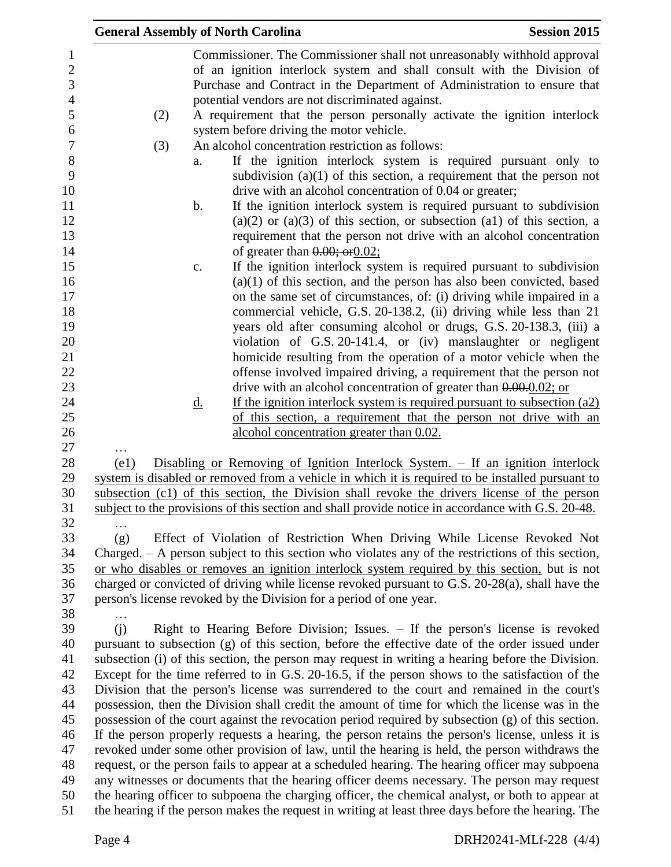|                                                                                                    |      |                        | <b>General Assembly of North Carolina</b>                                                                                                                                                                   | <b>Session 2015</b>                                                                                                                                                                                                                                                                                                                                                                                                                                                                                                                                                                                                                                                                                                                                                                                                                                                                                                                                                                                                                                                                                                                                                                                                                                                                                              |
|----------------------------------------------------------------------------------------------------|------|------------------------|-------------------------------------------------------------------------------------------------------------------------------------------------------------------------------------------------------------|------------------------------------------------------------------------------------------------------------------------------------------------------------------------------------------------------------------------------------------------------------------------------------------------------------------------------------------------------------------------------------------------------------------------------------------------------------------------------------------------------------------------------------------------------------------------------------------------------------------------------------------------------------------------------------------------------------------------------------------------------------------------------------------------------------------------------------------------------------------------------------------------------------------------------------------------------------------------------------------------------------------------------------------------------------------------------------------------------------------------------------------------------------------------------------------------------------------------------------------------------------------------------------------------------------------|
| 1<br>$\overline{2}$<br>3<br>$\overline{4}$<br>5<br>6<br>$\boldsymbol{7}$<br>$8\,$<br>9<br>10<br>11 |      | (2)<br>(3)<br>a.<br>b. | potential vendors are not discriminated against.<br>system before driving the motor vehicle.<br>An alcohol concentration restriction as follows:<br>drive with an alcohol concentration of 0.04 or greater; | Commissioner. The Commissioner shall not unreasonably withhold approval<br>of an ignition interlock system and shall consult with the Division of<br>Purchase and Contract in the Department of Administration to ensure that<br>A requirement that the person personally activate the ignition interlock<br>If the ignition interlock system is required pursuant only to<br>subdivision $(a)(1)$ of this section, a requirement that the person not<br>If the ignition interlock system is required pursuant to subdivision                                                                                                                                                                                                                                                                                                                                                                                                                                                                                                                                                                                                                                                                                                                                                                                    |
| 12<br>13                                                                                           |      |                        |                                                                                                                                                                                                             | $(a)(2)$ or $(a)(3)$ of this section, or subsection $(a1)$ of this section, a<br>requirement that the person not drive with an alcohol concentration                                                                                                                                                                                                                                                                                                                                                                                                                                                                                                                                                                                                                                                                                                                                                                                                                                                                                                                                                                                                                                                                                                                                                             |
| 14<br>15<br>16<br>17<br>18<br>19<br>20<br>21<br>22<br>23<br>24                                     |      | c.<br><u>d.</u>        | of greater than $0.00;$ or $0.02;$                                                                                                                                                                          | If the ignition interlock system is required pursuant to subdivision<br>$(a)(1)$ of this section, and the person has also been convicted, based<br>on the same set of circumstances, of: (i) driving while impaired in a<br>commercial vehicle, G.S. 20-138.2, (ii) driving while less than 21<br>years old after consuming alcohol or drugs, G.S. 20-138.3, (iii) a<br>violation of G.S. 20-141.4, or (iv) manslaughter or negligent<br>homicide resulting from the operation of a motor vehicle when the<br>offense involved impaired driving, a requirement that the person not<br>drive with an alcohol concentration of greater than $0.0000002$ ; or<br>If the ignition interlock system is required pursuant to subsection $(a2)$                                                                                                                                                                                                                                                                                                                                                                                                                                                                                                                                                                         |
| 25<br>26<br>27                                                                                     |      |                        | alcohol concentration greater than 0.02.                                                                                                                                                                    | of this section, a requirement that the person not drive with an                                                                                                                                                                                                                                                                                                                                                                                                                                                                                                                                                                                                                                                                                                                                                                                                                                                                                                                                                                                                                                                                                                                                                                                                                                                 |
| 28<br>29<br>30<br>31<br>32                                                                         | (e1) |                        |                                                                                                                                                                                                             | <u>Disabling or Removing of Ignition Interlock System. – If an ignition interlock</u><br>system is disabled or removed from a vehicle in which it is required to be installed pursuant to<br>subsection (c1) of this section, the Division shall revoke the drivers license of the person<br>subject to the provisions of this section and shall provide notice in accordance with G.S. 20-48.                                                                                                                                                                                                                                                                                                                                                                                                                                                                                                                                                                                                                                                                                                                                                                                                                                                                                                                   |
| 33<br>34<br>35<br>36<br>37<br>38                                                                   | (g)  |                        | person's license revoked by the Division for a period of one year.                                                                                                                                          | Effect of Violation of Restriction When Driving While License Revoked Not<br>Charged. $- A$ person subject to this section who violates any of the restrictions of this section,<br>or who disables or removes an ignition interlock system required by this section, but is not<br>charged or convicted of driving while license revoked pursuant to G.S. 20-28(a), shall have the                                                                                                                                                                                                                                                                                                                                                                                                                                                                                                                                                                                                                                                                                                                                                                                                                                                                                                                              |
| 39<br>40<br>41<br>42<br>43<br>44<br>45<br>46<br>47<br>48<br>49<br>50<br>51                         | (i)  |                        |                                                                                                                                                                                                             | Right to Hearing Before Division; Issues. - If the person's license is revoked<br>pursuant to subsection (g) of this section, before the effective date of the order issued under<br>subsection (i) of this section, the person may request in writing a hearing before the Division.<br>Except for the time referred to in G.S. 20-16.5, if the person shows to the satisfaction of the<br>Division that the person's license was surrendered to the court and remained in the court's<br>possession, then the Division shall credit the amount of time for which the license was in the<br>possession of the court against the revocation period required by subsection (g) of this section.<br>If the person properly requests a hearing, the person retains the person's license, unless it is<br>revoked under some other provision of law, until the hearing is held, the person withdraws the<br>request, or the person fails to appear at a scheduled hearing. The hearing officer may subpoena<br>any witnesses or documents that the hearing officer deems necessary. The person may request<br>the hearing officer to subpoena the charging officer, the chemical analyst, or both to appear at<br>the hearing if the person makes the request in writing at least three days before the hearing. The |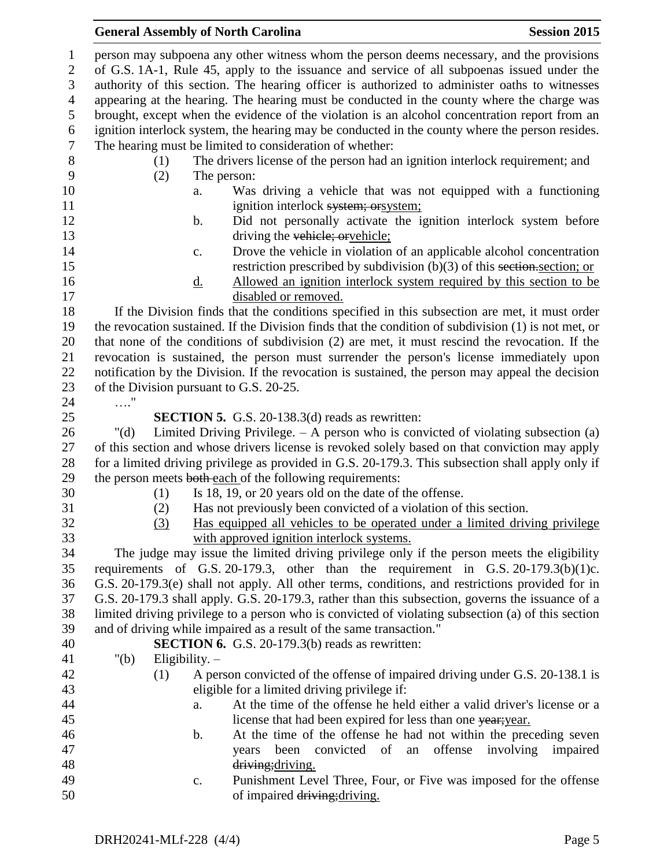## **General Assembly of North Carolina Session 2015**

| $\mathbf{1}$             |                                                                                               | person may subpoena any other witness whom the person deems necessary, and the provisions            |  |
|--------------------------|-----------------------------------------------------------------------------------------------|------------------------------------------------------------------------------------------------------|--|
| $\sqrt{2}$               | of G.S. 1A-1, Rule 45, apply to the issuance and service of all subpoenas issued under the    |                                                                                                      |  |
| 3                        | authority of this section. The hearing officer is authorized to administer oaths to witnesses |                                                                                                      |  |
| $\overline{\mathcal{A}}$ |                                                                                               | appearing at the hearing. The hearing must be conducted in the county where the charge was           |  |
| 5                        |                                                                                               | brought, except when the evidence of the violation is an alcohol concentration report from an        |  |
| 6                        |                                                                                               | ignition interlock system, the hearing may be conducted in the county where the person resides.      |  |
| $\tau$                   |                                                                                               | The hearing must be limited to consideration of whether:                                             |  |
| $8\,$                    | (1)                                                                                           | The drivers license of the person had an ignition interlock requirement; and                         |  |
| 9                        | (2)<br>The person:                                                                            |                                                                                                      |  |
| 10                       | a.                                                                                            | Was driving a vehicle that was not equipped with a functioning                                       |  |
| 11                       |                                                                                               | ignition interlock system; or system;                                                                |  |
| 12                       | b.                                                                                            | Did not personally activate the ignition interlock system before                                     |  |
| 13                       |                                                                                               | driving the vehicle; oryehicle;                                                                      |  |
| 14                       | $\mathbf{c}$ .                                                                                | Drove the vehicle in violation of an applicable alcohol concentration                                |  |
| 15                       |                                                                                               | restriction prescribed by subdivision $(b)(3)$ of this section-section; or                           |  |
| 16                       | <u>d.</u>                                                                                     | Allowed an ignition interlock system required by this section to be                                  |  |
| 17                       |                                                                                               | disabled or removed.                                                                                 |  |
| 18                       |                                                                                               | If the Division finds that the conditions specified in this subsection are met, it must order        |  |
| 19                       |                                                                                               | the revocation sustained. If the Division finds that the condition of subdivision (1) is not met, or |  |
| 20                       |                                                                                               | that none of the conditions of subdivision (2) are met, it must rescind the revocation. If the       |  |
| 21                       |                                                                                               | revocation is sustained, the person must surrender the person's license immediately upon             |  |
| 22                       |                                                                                               | notification by the Division. If the revocation is sustained, the person may appeal the decision     |  |
| 23                       | of the Division pursuant to G.S. 20-25.                                                       |                                                                                                      |  |
| 24                       | . "                                                                                           |                                                                                                      |  |
| 25                       |                                                                                               | <b>SECTION 5.</b> G.S. 20-138.3(d) reads as rewritten:                                               |  |
| 26                       | " $(d)$                                                                                       | Limited Driving Privilege. $-$ A person who is convicted of violating subsection (a)                 |  |
| 27                       |                                                                                               | of this section and whose drivers license is revoked solely based on that conviction may apply       |  |
| 28                       |                                                                                               | for a limited driving privilege as provided in G.S. 20-179.3. This subsection shall apply only if    |  |
| 29                       |                                                                                               | the person meets both each of the following requirements:                                            |  |
| 30                       | (1)                                                                                           | Is 18, 19, or 20 years old on the date of the offense.                                               |  |
| 31                       | (2)                                                                                           | Has not previously been convicted of a violation of this section.                                    |  |
| 32                       | (3)                                                                                           | Has equipped all vehicles to be operated under a limited driving privilege                           |  |
| 33                       |                                                                                               | with approved ignition interlock systems.                                                            |  |
| 34                       |                                                                                               | The judge may issue the limited driving privilege only if the person meets the eligibility           |  |
| 35                       |                                                                                               | requirements of G.S. 20-179.3, other than the requirement in G.S. $20-179.3(b)(1)c$ .                |  |
| 36                       |                                                                                               | G.S. 20-179.3(e) shall not apply. All other terms, conditions, and restrictions provided for in      |  |
| 37                       |                                                                                               | G.S. 20-179.3 shall apply. G.S. 20-179.3, rather than this subsection, governs the issuance of a     |  |
| 38                       |                                                                                               | limited driving privilege to a person who is convicted of violating subsection (a) of this section   |  |
| 39                       |                                                                                               | and of driving while impaired as a result of the same transaction."                                  |  |
| 40                       |                                                                                               | <b>SECTION 6.</b> G.S. 20-179.3(b) reads as rewritten:                                               |  |
| 41                       | " $(b)$<br>Eligibility. $-$                                                                   |                                                                                                      |  |
| 42                       | (1)                                                                                           | A person convicted of the offense of impaired driving under G.S. 20-138.1 is                         |  |
| 43                       |                                                                                               | eligible for a limited driving privilege if:                                                         |  |
| 44                       | a.                                                                                            | At the time of the offense he held either a valid driver's license or a                              |  |
| 45                       |                                                                                               | license that had been expired for less than one year; year.                                          |  |
| 46                       | b.                                                                                            | At the time of the offense he had not within the preceding seven                                     |  |
| 47                       |                                                                                               | convicted of<br>offense<br>involving<br>been<br>an<br>impaired<br>years                              |  |
| 48                       |                                                                                               | driving; driving.                                                                                    |  |
| 49                       | $\mathbf{c}$ .                                                                                | Punishment Level Three, Four, or Five was imposed for the offense                                    |  |
| 50                       |                                                                                               | of impaired driving; driving.                                                                        |  |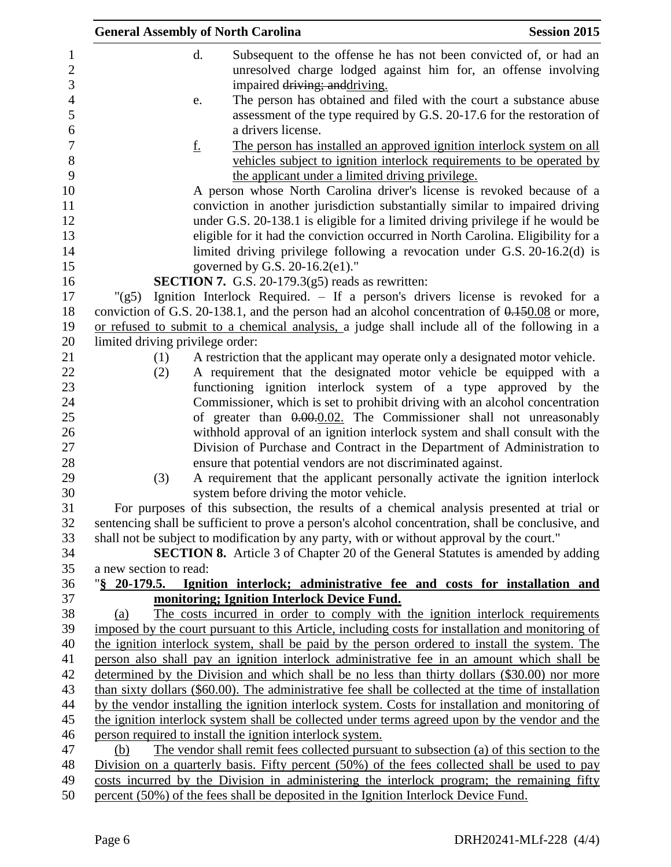| <b>General Assembly of North Carolina</b> |                                                                                                                                                  | <b>Session 2015</b>                                                    |
|-------------------------------------------|--------------------------------------------------------------------------------------------------------------------------------------------------|------------------------------------------------------------------------|
| d.                                        |                                                                                                                                                  | Subsequent to the offense he has not been convicted of, or had an      |
|                                           |                                                                                                                                                  | unresolved charge lodged against him for, an offense involving         |
|                                           | impaired driving; and driving.                                                                                                                   |                                                                        |
| e.                                        |                                                                                                                                                  | The person has obtained and filed with the court a substance abuse     |
|                                           |                                                                                                                                                  | assessment of the type required by G.S. 20-17.6 for the restoration of |
|                                           | a drivers license.                                                                                                                               |                                                                        |
| <u>f.</u>                                 |                                                                                                                                                  | The person has installed an approved ignition interlock system on all  |
|                                           |                                                                                                                                                  | vehicles subject to ignition interlock requirements to be operated by  |
|                                           | the applicant under a limited driving privilege.                                                                                                 |                                                                        |
|                                           | A person whose North Carolina driver's license is revoked because of a                                                                           |                                                                        |
|                                           | conviction in another jurisdiction substantially similar to impaired driving                                                                     |                                                                        |
|                                           | under G.S. 20-138.1 is eligible for a limited driving privilege if he would be                                                                   |                                                                        |
|                                           | eligible for it had the conviction occurred in North Carolina. Eligibility for a                                                                 |                                                                        |
|                                           | limited driving privilege following a revocation under G.S. 20-16.2(d) is                                                                        |                                                                        |
|                                           | governed by G.S. 20-16.2(e1)."                                                                                                                   |                                                                        |
|                                           | <b>SECTION 7.</b> G.S. 20-179.3(g5) reads as rewritten:                                                                                          |                                                                        |
| " $(g5)$                                  | Ignition Interlock Required. – If a person's drivers license is revoked for a                                                                    |                                                                        |
|                                           | conviction of G.S. 20-138.1, and the person had an alcohol concentration of $0.150.08$ or more,                                                  |                                                                        |
|                                           | or refused to submit to a chemical analysis, a judge shall include all of the following in a                                                     |                                                                        |
| limited driving privilege order:          |                                                                                                                                                  |                                                                        |
| (1)                                       | A restriction that the applicant may operate only a designated motor vehicle.                                                                    |                                                                        |
| (2)                                       | A requirement that the designated motor vehicle be equipped with a                                                                               |                                                                        |
|                                           | functioning ignition interlock system of a type approved by the                                                                                  |                                                                        |
|                                           | Commissioner, which is set to prohibit driving with an alcohol concentration<br>of greater than 0.00.02. The Commissioner shall not unreasonably |                                                                        |
|                                           | withhold approval of an ignition interlock system and shall consult with the                                                                     |                                                                        |
|                                           | Division of Purchase and Contract in the Department of Administration to                                                                         |                                                                        |
|                                           | ensure that potential vendors are not discriminated against.                                                                                     |                                                                        |
| (3)                                       | A requirement that the applicant personally activate the ignition interlock                                                                      |                                                                        |
|                                           | system before driving the motor vehicle.                                                                                                         |                                                                        |
|                                           | For purposes of this subsection, the results of a chemical analysis presented at trial or                                                        |                                                                        |
|                                           | sentencing shall be sufficient to prove a person's alcohol concentration, shall be conclusive, and                                               |                                                                        |
|                                           | shall not be subject to modification by any party, with or without approval by the court."                                                       |                                                                        |
|                                           | SECTION 8. Article 3 of Chapter 20 of the General Statutes is amended by adding                                                                  |                                                                        |
| a new section to read:                    |                                                                                                                                                  |                                                                        |
|                                           | "§ 20-179.5. Ignition interlock; administrative fee and costs for installation and                                                               |                                                                        |
|                                           | monitoring; Ignition Interlock Device Fund.                                                                                                      |                                                                        |
| (a)                                       | The costs incurred in order to comply with the ignition interlock requirements                                                                   |                                                                        |
|                                           | imposed by the court pursuant to this Article, including costs for installation and monitoring of                                                |                                                                        |
|                                           | the ignition interlock system, shall be paid by the person ordered to install the system. The                                                    |                                                                        |
|                                           | person also shall pay an ignition interlock administrative fee in an amount which shall be                                                       |                                                                        |
|                                           | determined by the Division and which shall be no less than thirty dollars (\$30.00) nor more                                                     |                                                                        |
|                                           | than sixty dollars (\$60.00). The administrative fee shall be collected at the time of installation                                              |                                                                        |
|                                           | by the vendor installing the ignition interlock system. Costs for installation and monitoring of                                                 |                                                                        |
|                                           | the ignition interlock system shall be collected under terms agreed upon by the vendor and the                                                   |                                                                        |
|                                           | person required to install the ignition interlock system.                                                                                        |                                                                        |
| (b)                                       | The vendor shall remit fees collected pursuant to subsection (a) of this section to the                                                          |                                                                        |
|                                           | Division on a quarterly basis. Fifty percent (50%) of the fees collected shall be used to pay                                                    |                                                                        |
|                                           | costs incurred by the Division in administering the interlock program; the remaining fifty                                                       |                                                                        |
|                                           | percent (50%) of the fees shall be deposited in the Ignition Interlock Device Fund.                                                              |                                                                        |